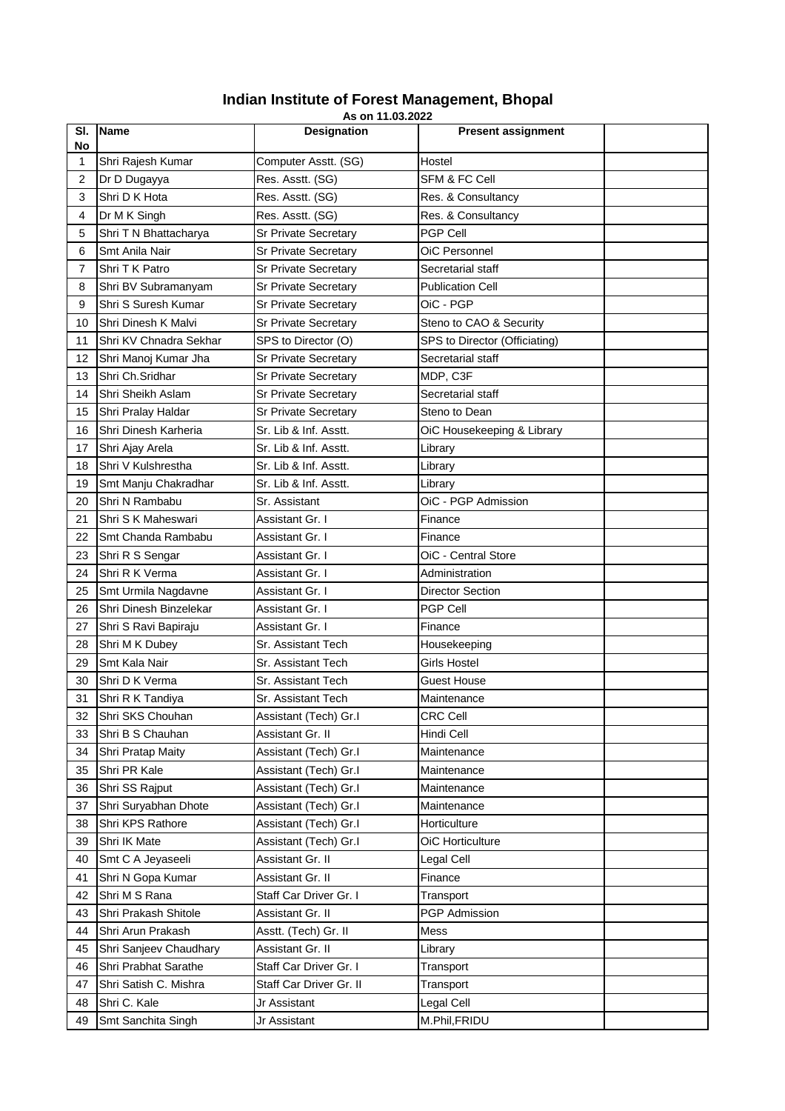## **Indian Institute of Forest Management, Bhopal**

|                | As on 11.03.2022       |                             |                               |  |  |  |  |
|----------------|------------------------|-----------------------------|-------------------------------|--|--|--|--|
| SI.<br>No      | <b>Name</b>            | <b>Designation</b>          | <b>Present assignment</b>     |  |  |  |  |
| 1              | Shri Rajesh Kumar      | Computer Asstt. (SG)        | Hostel                        |  |  |  |  |
| $\overline{c}$ | Dr D Dugayya           | Res. Asstt. (SG)            | SFM & FC Cell                 |  |  |  |  |
| 3              | Shri D K Hota          | Res. Asstt. (SG)            | Res. & Consultancy            |  |  |  |  |
| 4              | Dr M K Singh           | Res. Asstt. (SG)            | Res. & Consultancy            |  |  |  |  |
| 5              | Shri T N Bhattacharya  | Sr Private Secretary        | PGP Cell                      |  |  |  |  |
| 6              | Smt Anila Nair         | Sr Private Secretary        | OiC Personnel                 |  |  |  |  |
| 7              | Shri T K Patro         | Sr Private Secretary        | Secretarial staff             |  |  |  |  |
| 8              | Shri BV Subramanyam    | Sr Private Secretary        | <b>Publication Cell</b>       |  |  |  |  |
| 9              | Shri S Suresh Kumar    | Sr Private Secretary        | OiC - PGP                     |  |  |  |  |
| 10             | Shri Dinesh K Malvi    | <b>Sr Private Secretary</b> | Steno to CAO & Security       |  |  |  |  |
| 11             | Shri KV Chnadra Sekhar | SPS to Director (O)         | SPS to Director (Officiating) |  |  |  |  |
| 12             | Shri Manoj Kumar Jha   | <b>Sr Private Secretary</b> | Secretarial staff             |  |  |  |  |
| 13             | Shri Ch.Sridhar        | Sr Private Secretary        | MDP, C3F                      |  |  |  |  |
| 14             | Shri Sheikh Aslam      | Sr Private Secretary        | Secretarial staff             |  |  |  |  |
| 15             | Shri Pralay Haldar     | Sr Private Secretary        | Steno to Dean                 |  |  |  |  |
| 16             | Shri Dinesh Karheria   | Sr. Lib & Inf. Asstt.       | OiC Housekeeping & Library    |  |  |  |  |
| 17             | Shri Ajay Arela        | Sr. Lib & Inf. Asstt.       | Library                       |  |  |  |  |
| 18             | Shri V Kulshrestha     | Sr. Lib & Inf. Asstt.       | Library                       |  |  |  |  |
| 19             | Smt Manju Chakradhar   | Sr. Lib & Inf. Asstt.       | Library                       |  |  |  |  |
| 20             | Shri N Rambabu         | Sr. Assistant               | OiC - PGP Admission           |  |  |  |  |
| 21             | Shri S K Maheswari     | Assistant Gr. I             | Finance                       |  |  |  |  |
| 22             | Smt Chanda Rambabu     | Assistant Gr. I             | Finance                       |  |  |  |  |
| 23             | Shri R S Sengar        | Assistant Gr. I             | OiC - Central Store           |  |  |  |  |
| 24             | Shri R K Verma         | Assistant Gr. I             | Administration                |  |  |  |  |
| 25             | Smt Urmila Nagdavne    | Assistant Gr. I             | <b>Director Section</b>       |  |  |  |  |
| 26             | Shri Dinesh Binzelekar | Assistant Gr. I             | <b>PGP Cell</b>               |  |  |  |  |
| 27             | Shri S Ravi Bapiraju   | Assistant Gr. I             | Finance                       |  |  |  |  |
| 28             | Shri M K Dubey         | Sr. Assistant Tech          | Housekeeping                  |  |  |  |  |
| 29             | Smt Kala Nair          | Sr. Assistant Tech          | <b>Girls Hostel</b>           |  |  |  |  |
| 30             | Shri D K Verma         | Sr. Assistant Tech          | <b>Guest House</b>            |  |  |  |  |
| 31             | Shri R K Tandiya       | Sr. Assistant Tech          | Maintenance                   |  |  |  |  |
| 32             | Shri SKS Chouhan       | Assistant (Tech) Gr.I       | <b>CRC Cell</b>               |  |  |  |  |
| 33             | Shri B S Chauhan       | Assistant Gr. II            | Hindi Cell                    |  |  |  |  |
| 34             | Shri Pratap Maity      | Assistant (Tech) Gr.I       | Maintenance                   |  |  |  |  |
| 35             | Shri PR Kale           | Assistant (Tech) Gr.I       | Maintenance                   |  |  |  |  |
| 36             | Shri SS Rajput         | Assistant (Tech) Gr.I       | Maintenance                   |  |  |  |  |
| 37             | Shri Suryabhan Dhote   | Assistant (Tech) Gr.I       | Maintenance                   |  |  |  |  |
| 38             | Shri KPS Rathore       | Assistant (Tech) Gr.I       | Horticulture                  |  |  |  |  |
| 39             | Shri IK Mate           | Assistant (Tech) Gr.I       | OiC Horticulture              |  |  |  |  |
| 40             | Smt C A Jeyaseeli      | Assistant Gr. II            | Legal Cell                    |  |  |  |  |
| 41             | Shri N Gopa Kumar      | Assistant Gr. II            | Finance                       |  |  |  |  |
| 42             | Shri M S Rana          | Staff Car Driver Gr. I      | Transport                     |  |  |  |  |
| 43             | Shri Prakash Shitole   | Assistant Gr. II            | <b>PGP Admission</b>          |  |  |  |  |
| 44             | Shri Arun Prakash      | Asstt. (Tech) Gr. II        | Mess                          |  |  |  |  |
| 45             | Shri Sanjeev Chaudhary | Assistant Gr. II            | Library                       |  |  |  |  |
| 46             | Shri Prabhat Sarathe   | Staff Car Driver Gr. I      | Transport                     |  |  |  |  |
| 47             | Shri Satish C. Mishra  | Staff Car Driver Gr. II     | Transport                     |  |  |  |  |
| 48             | Shri C. Kale           | Jr Assistant                | Legal Cell                    |  |  |  |  |
| 49             | Smt Sanchita Singh     | Jr Assistant                | M.Phil, FRIDU                 |  |  |  |  |